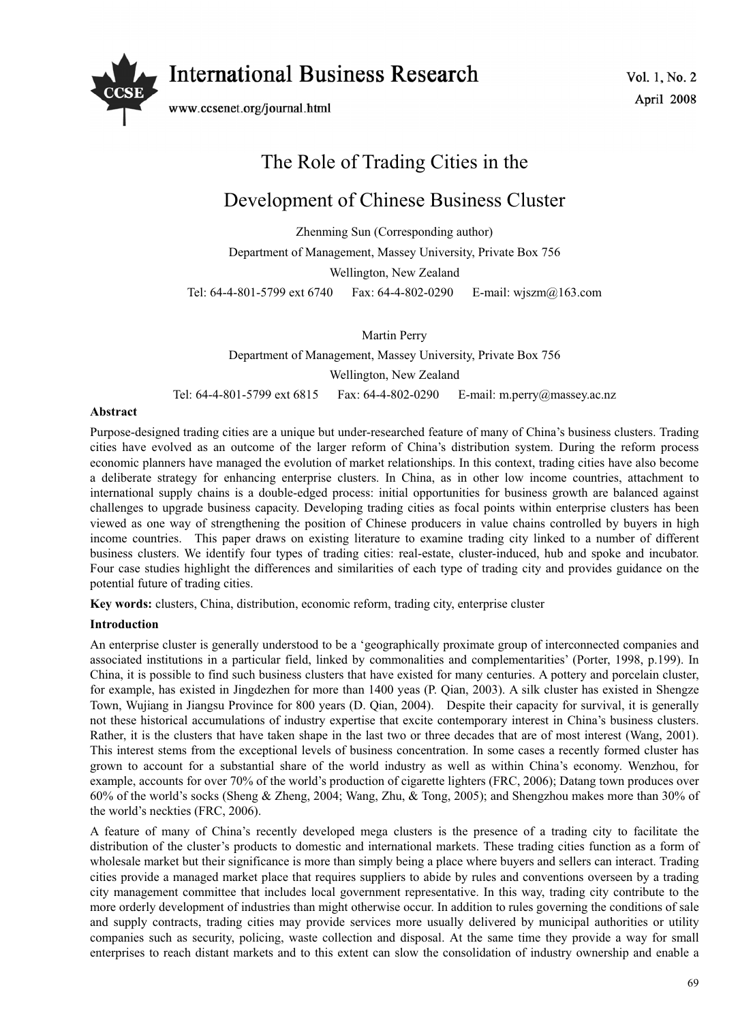**International Business Research** 



Vol. 1, No. 2 April 2008

# The Role of Trading Cities in the

## Development of Chinese Business Cluster

Zhenming Sun (Corresponding author)

Department of Management, Massey University, Private Box 756 Wellington, New Zealand Tel: 64-4-801-5799 ext 6740 Fax: 64-4-802-0290 E-mail: wjszm@163.com

Martin Perry

Department of Management, Massey University, Private Box 756

Wellington, New Zealand

Tel: 64-4-801-5799 ext 6815 Fax: 64-4-802-0290 E-mail: m.perry@massey.ac.nz

### **Abstract**

Purpose-designed trading cities are a unique but under-researched feature of many of China's business clusters. Trading cities have evolved as an outcome of the larger reform of China's distribution system. During the reform process economic planners have managed the evolution of market relationships. In this context, trading cities have also become a deliberate strategy for enhancing enterprise clusters. In China, as in other low income countries, attachment to international supply chains is a double-edged process: initial opportunities for business growth are balanced against challenges to upgrade business capacity. Developing trading cities as focal points within enterprise clusters has been viewed as one way of strengthening the position of Chinese producers in value chains controlled by buyers in high income countries. This paper draws on existing literature to examine trading city linked to a number of different business clusters. We identify four types of trading cities: real-estate, cluster-induced, hub and spoke and incubator. Four case studies highlight the differences and similarities of each type of trading city and provides guidance on the potential future of trading cities.

**Key words:** clusters, China, distribution, economic reform, trading city, enterprise cluster

## **Introduction**

An enterprise cluster is generally understood to be a 'geographically proximate group of interconnected companies and associated institutions in a particular field, linked by commonalities and complementarities' (Porter, 1998, p.199). In China, it is possible to find such business clusters that have existed for many centuries. A pottery and porcelain cluster, for example, has existed in Jingdezhen for more than 1400 yeas (P. Qian, 2003). A silk cluster has existed in Shengze Town, Wujiang in Jiangsu Province for 800 years (D. Qian, 2004). Despite their capacity for survival, it is generally not these historical accumulations of industry expertise that excite contemporary interest in China's business clusters. Rather, it is the clusters that have taken shape in the last two or three decades that are of most interest (Wang, 2001). This interest stems from the exceptional levels of business concentration. In some cases a recently formed cluster has grown to account for a substantial share of the world industry as well as within China's economy. Wenzhou, for example, accounts for over 70% of the world's production of cigarette lighters (FRC, 2006); Datang town produces over 60% of the world's socks (Sheng & Zheng, 2004; Wang, Zhu, & Tong, 2005); and Shengzhou makes more than 30% of the world's neckties (FRC, 2006).

A feature of many of China's recently developed mega clusters is the presence of a trading city to facilitate the distribution of the cluster's products to domestic and international markets. These trading cities function as a form of wholesale market but their significance is more than simply being a place where buyers and sellers can interact. Trading cities provide a managed market place that requires suppliers to abide by rules and conventions overseen by a trading city management committee that includes local government representative. In this way, trading city contribute to the more orderly development of industries than might otherwise occur. In addition to rules governing the conditions of sale and supply contracts, trading cities may provide services more usually delivered by municipal authorities or utility companies such as security, policing, waste collection and disposal. At the same time they provide a way for small enterprises to reach distant markets and to this extent can slow the consolidation of industry ownership and enable a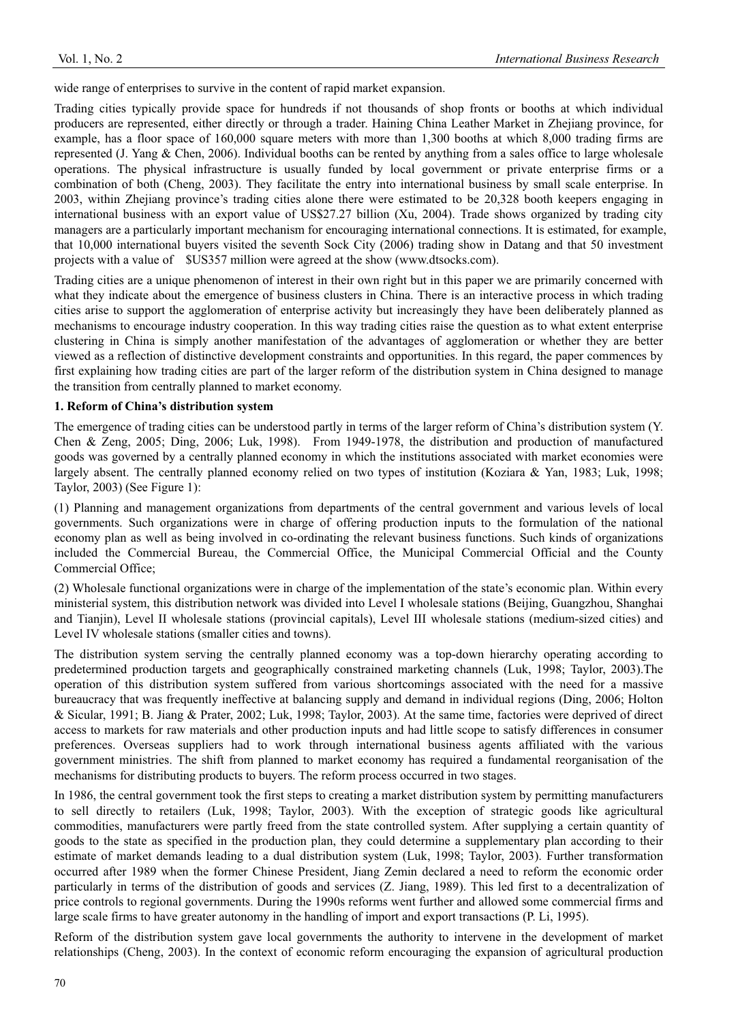wide range of enterprises to survive in the content of rapid market expansion.

Trading cities typically provide space for hundreds if not thousands of shop fronts or booths at which individual producers are represented, either directly or through a trader. Haining China Leather Market in Zhejiang province, for example, has a floor space of 160,000 square meters with more than 1,300 booths at which 8,000 trading firms are represented (J. Yang & Chen, 2006). Individual booths can be rented by anything from a sales office to large wholesale operations. The physical infrastructure is usually funded by local government or private enterprise firms or a combination of both (Cheng, 2003). They facilitate the entry into international business by small scale enterprise. In 2003, within Zhejiang province's trading cities alone there were estimated to be 20,328 booth keepers engaging in international business with an export value of US\$27.27 billion (Xu, 2004). Trade shows organized by trading city managers are a particularly important mechanism for encouraging international connections. It is estimated, for example, that 10,000 international buyers visited the seventh Sock City (2006) trading show in Datang and that 50 investment projects with a value of \$US357 million were agreed at the show (www.dtsocks.com).

Trading cities are a unique phenomenon of interest in their own right but in this paper we are primarily concerned with what they indicate about the emergence of business clusters in China. There is an interactive process in which trading cities arise to support the agglomeration of enterprise activity but increasingly they have been deliberately planned as mechanisms to encourage industry cooperation. In this way trading cities raise the question as to what extent enterprise clustering in China is simply another manifestation of the advantages of agglomeration or whether they are better viewed as a reflection of distinctive development constraints and opportunities. In this regard, the paper commences by first explaining how trading cities are part of the larger reform of the distribution system in China designed to manage the transition from centrally planned to market economy.

### **1. Reform of China's distribution system**

The emergence of trading cities can be understood partly in terms of the larger reform of China's distribution system (Y. Chen & Zeng, 2005; Ding, 2006; Luk, 1998). From 1949-1978, the distribution and production of manufactured goods was governed by a centrally planned economy in which the institutions associated with market economies were largely absent. The centrally planned economy relied on two types of institution (Koziara & Yan, 1983; Luk, 1998; Taylor, 2003) (See Figure 1):

(1) Planning and management organizations from departments of the central government and various levels of local governments. Such organizations were in charge of offering production inputs to the formulation of the national economy plan as well as being involved in co-ordinating the relevant business functions. Such kinds of organizations included the Commercial Bureau, the Commercial Office, the Municipal Commercial Official and the County Commercial Office;

(2) Wholesale functional organizations were in charge of the implementation of the state's economic plan. Within every ministerial system, this distribution network was divided into Level I wholesale stations (Beijing, Guangzhou, Shanghai and Tianjin), Level II wholesale stations (provincial capitals), Level III wholesale stations (medium-sized cities) and Level IV wholesale stations (smaller cities and towns).

The distribution system serving the centrally planned economy was a top-down hierarchy operating according to predetermined production targets and geographically constrained marketing channels (Luk, 1998; Taylor, 2003).The operation of this distribution system suffered from various shortcomings associated with the need for a massive bureaucracy that was frequently ineffective at balancing supply and demand in individual regions (Ding, 2006; Holton & Sicular, 1991; B. Jiang & Prater, 2002; Luk, 1998; Taylor, 2003). At the same time, factories were deprived of direct access to markets for raw materials and other production inputs and had little scope to satisfy differences in consumer preferences. Overseas suppliers had to work through international business agents affiliated with the various government ministries. The shift from planned to market economy has required a fundamental reorganisation of the mechanisms for distributing products to buyers. The reform process occurred in two stages.

In 1986, the central government took the first steps to creating a market distribution system by permitting manufacturers to sell directly to retailers (Luk, 1998; Taylor, 2003). With the exception of strategic goods like agricultural commodities, manufacturers were partly freed from the state controlled system. After supplying a certain quantity of goods to the state as specified in the production plan, they could determine a supplementary plan according to their estimate of market demands leading to a dual distribution system (Luk, 1998; Taylor, 2003). Further transformation occurred after 1989 when the former Chinese President, Jiang Zemin declared a need to reform the economic order particularly in terms of the distribution of goods and services (Z. Jiang, 1989). This led first to a decentralization of price controls to regional governments. During the 1990s reforms went further and allowed some commercial firms and large scale firms to have greater autonomy in the handling of import and export transactions (P. Li, 1995).

Reform of the distribution system gave local governments the authority to intervene in the development of market relationships (Cheng, 2003). In the context of economic reform encouraging the expansion of agricultural production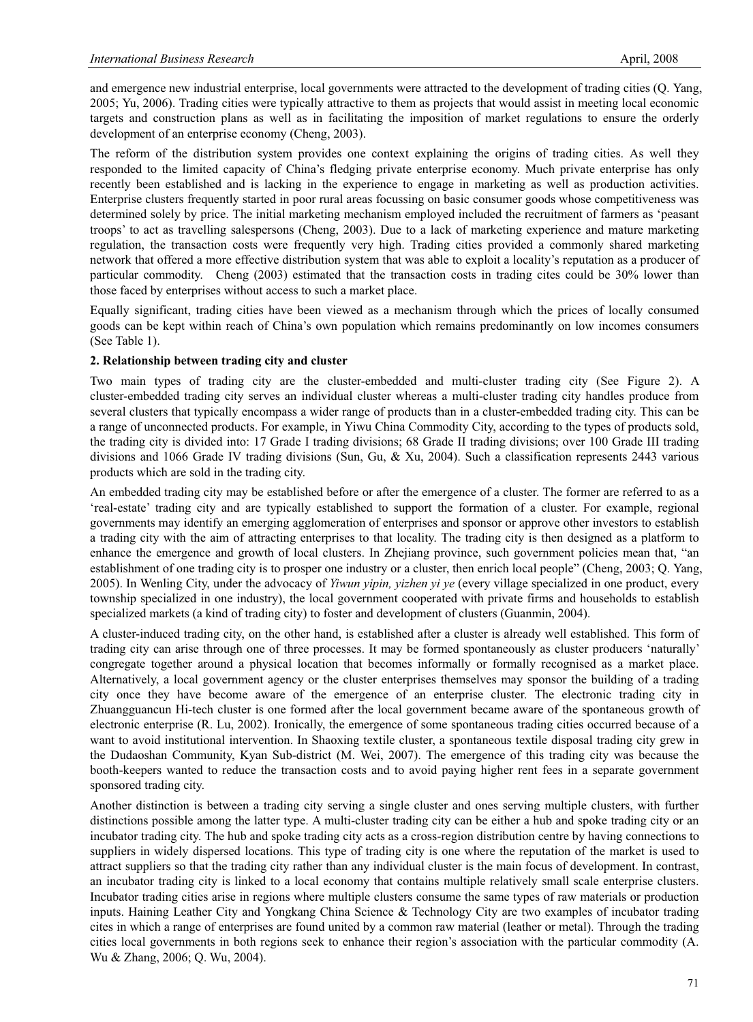and emergence new industrial enterprise, local governments were attracted to the development of trading cities (Q. Yang, 2005; Yu, 2006). Trading cities were typically attractive to them as projects that would assist in meeting local economic targets and construction plans as well as in facilitating the imposition of market regulations to ensure the orderly development of an enterprise economy (Cheng, 2003).

The reform of the distribution system provides one context explaining the origins of trading cities. As well they responded to the limited capacity of China's fledging private enterprise economy. Much private enterprise has only recently been established and is lacking in the experience to engage in marketing as well as production activities. Enterprise clusters frequently started in poor rural areas focussing on basic consumer goods whose competitiveness was determined solely by price. The initial marketing mechanism employed included the recruitment of farmers as 'peasant troops' to act as travelling salespersons (Cheng, 2003). Due to a lack of marketing experience and mature marketing regulation, the transaction costs were frequently very high. Trading cities provided a commonly shared marketing network that offered a more effective distribution system that was able to exploit a locality's reputation as a producer of particular commodity. Cheng (2003) estimated that the transaction costs in trading cites could be 30% lower than those faced by enterprises without access to such a market place.

Equally significant, trading cities have been viewed as a mechanism through which the prices of locally consumed goods can be kept within reach of China's own population which remains predominantly on low incomes consumers (See Table 1).

#### **2. Relationship between trading city and cluster**

Two main types of trading city are the cluster-embedded and multi-cluster trading city (See Figure 2). A cluster-embedded trading city serves an individual cluster whereas a multi-cluster trading city handles produce from several clusters that typically encompass a wider range of products than in a cluster-embedded trading city. This can be a range of unconnected products. For example, in Yiwu China Commodity City, according to the types of products sold, the trading city is divided into: 17 Grade I trading divisions; 68 Grade II trading divisions; over 100 Grade III trading divisions and 1066 Grade IV trading divisions (Sun, Gu, & Xu, 2004). Such a classification represents 2443 various products which are sold in the trading city.

An embedded trading city may be established before or after the emergence of a cluster. The former are referred to as a 'real-estate' trading city and are typically established to support the formation of a cluster. For example, regional governments may identify an emerging agglomeration of enterprises and sponsor or approve other investors to establish a trading city with the aim of attracting enterprises to that locality. The trading city is then designed as a platform to enhance the emergence and growth of local clusters. In Zhejiang province, such government policies mean that, "an establishment of one trading city is to prosper one industry or a cluster, then enrich local people" (Cheng, 2003; Q. Yang, 2005). In Wenling City, under the advocacy of *Yiwun yipin, yizhen yi ye* (every village specialized in one product, every township specialized in one industry), the local government cooperated with private firms and households to establish specialized markets (a kind of trading city) to foster and development of clusters (Guanmin, 2004).

A cluster-induced trading city, on the other hand, is established after a cluster is already well established. This form of trading city can arise through one of three processes. It may be formed spontaneously as cluster producers 'naturally' congregate together around a physical location that becomes informally or formally recognised as a market place. Alternatively, a local government agency or the cluster enterprises themselves may sponsor the building of a trading city once they have become aware of the emergence of an enterprise cluster. The electronic trading city in Zhuangguancun Hi-tech cluster is one formed after the local government became aware of the spontaneous growth of electronic enterprise (R. Lu, 2002). Ironically, the emergence of some spontaneous trading cities occurred because of a want to avoid institutional intervention. In Shaoxing textile cluster, a spontaneous textile disposal trading city grew in the Dudaoshan Community, Kyan Sub-district (M. Wei, 2007). The emergence of this trading city was because the booth-keepers wanted to reduce the transaction costs and to avoid paying higher rent fees in a separate government sponsored trading city.

Another distinction is between a trading city serving a single cluster and ones serving multiple clusters, with further distinctions possible among the latter type. A multi-cluster trading city can be either a hub and spoke trading city or an incubator trading city. The hub and spoke trading city acts as a cross-region distribution centre by having connections to suppliers in widely dispersed locations. This type of trading city is one where the reputation of the market is used to attract suppliers so that the trading city rather than any individual cluster is the main focus of development. In contrast, an incubator trading city is linked to a local economy that contains multiple relatively small scale enterprise clusters. Incubator trading cities arise in regions where multiple clusters consume the same types of raw materials or production inputs. Haining Leather City and Yongkang China Science & Technology City are two examples of incubator trading cites in which a range of enterprises are found united by a common raw material (leather or metal). Through the trading cities local governments in both regions seek to enhance their region's association with the particular commodity (A. Wu & Zhang, 2006; Q. Wu, 2004).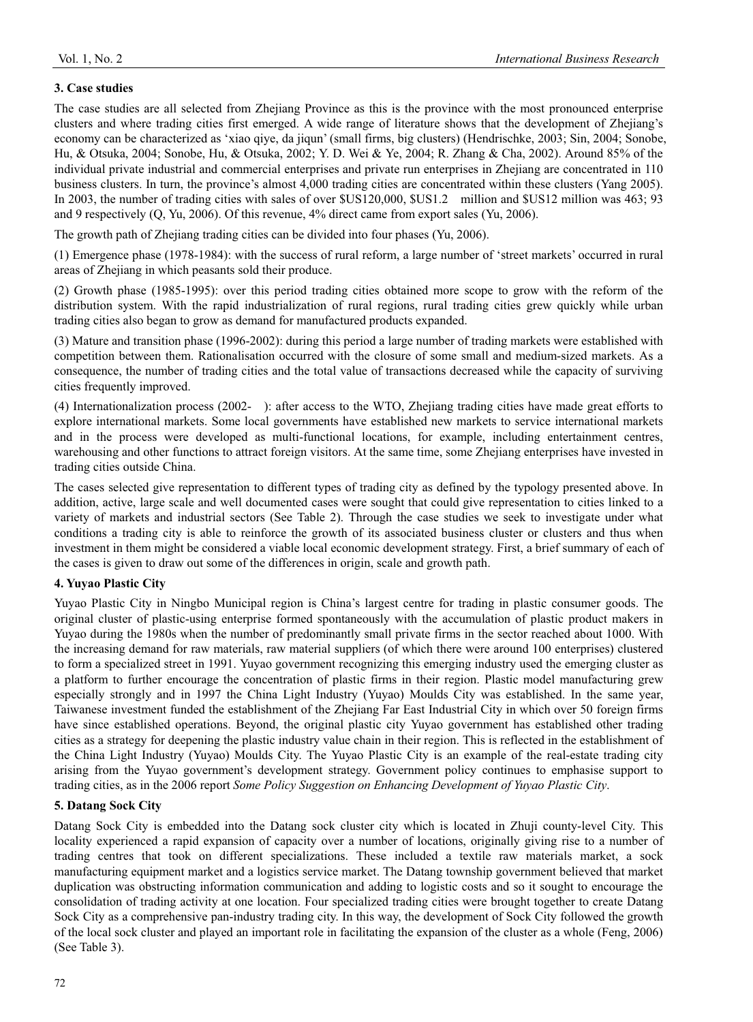## **3. Case studies**

The case studies are all selected from Zhejiang Province as this is the province with the most pronounced enterprise clusters and where trading cities first emerged. A wide range of literature shows that the development of Zhejiang's economy can be characterized as 'xiao qiye, da jiqun' (small firms, big clusters) (Hendrischke, 2003; Sin, 2004; Sonobe, Hu, & Otsuka, 2004; Sonobe, Hu, & Otsuka, 2002; Y. D. Wei & Ye, 2004; R. Zhang & Cha, 2002). Around 85% of the individual private industrial and commercial enterprises and private run enterprises in Zhejiang are concentrated in 110 business clusters. In turn, the province's almost 4,000 trading cities are concentrated within these clusters (Yang 2005). In 2003, the number of trading cities with sales of over \$US120,000, \$US1.2 million and \$US12 million was 463; 93 and 9 respectively (Q, Yu, 2006). Of this revenue, 4% direct came from export sales (Yu, 2006).

The growth path of Zhejiang trading cities can be divided into four phases (Yu, 2006).

(1) Emergence phase (1978-1984): with the success of rural reform, a large number of 'street markets' occurred in rural areas of Zhejiang in which peasants sold their produce.

(2) Growth phase (1985-1995): over this period trading cities obtained more scope to grow with the reform of the distribution system. With the rapid industrialization of rural regions, rural trading cities grew quickly while urban trading cities also began to grow as demand for manufactured products expanded.

(3) Mature and transition phase (1996-2002): during this period a large number of trading markets were established with competition between them. Rationalisation occurred with the closure of some small and medium-sized markets. As a consequence, the number of trading cities and the total value of transactions decreased while the capacity of surviving cities frequently improved.

(4) Internationalization process (2002- ): after access to the WTO, Zhejiang trading cities have made great efforts to explore international markets. Some local governments have established new markets to service international markets and in the process were developed as multi-functional locations, for example, including entertainment centres, warehousing and other functions to attract foreign visitors. At the same time, some Zhejiang enterprises have invested in trading cities outside China.

The cases selected give representation to different types of trading city as defined by the typology presented above. In addition, active, large scale and well documented cases were sought that could give representation to cities linked to a variety of markets and industrial sectors (See Table 2). Through the case studies we seek to investigate under what conditions a trading city is able to reinforce the growth of its associated business cluster or clusters and thus when investment in them might be considered a viable local economic development strategy. First, a brief summary of each of the cases is given to draw out some of the differences in origin, scale and growth path.

## **4. Yuyao Plastic City**

Yuyao Plastic City in Ningbo Municipal region is China's largest centre for trading in plastic consumer goods. The original cluster of plastic-using enterprise formed spontaneously with the accumulation of plastic product makers in Yuyao during the 1980s when the number of predominantly small private firms in the sector reached about 1000. With the increasing demand for raw materials, raw material suppliers (of which there were around 100 enterprises) clustered to form a specialized street in 1991. Yuyao government recognizing this emerging industry used the emerging cluster as a platform to further encourage the concentration of plastic firms in their region. Plastic model manufacturing grew especially strongly and in 1997 the China Light Industry (Yuyao) Moulds City was established. In the same year, Taiwanese investment funded the establishment of the Zhejiang Far East Industrial City in which over 50 foreign firms have since established operations. Beyond, the original plastic city Yuyao government has established other trading cities as a strategy for deepening the plastic industry value chain in their region. This is reflected in the establishment of the China Light Industry (Yuyao) Moulds City. The Yuyao Plastic City is an example of the real-estate trading city arising from the Yuyao government's development strategy. Government policy continues to emphasise support to trading cities, as in the 2006 report *Some Policy Suggestion on Enhancing Development of Yuyao Plastic City*.

#### **5. Datang Sock City**

Datang Sock City is embedded into the Datang sock cluster city which is located in Zhuji county-level City. This locality experienced a rapid expansion of capacity over a number of locations, originally giving rise to a number of trading centres that took on different specializations. These included a textile raw materials market, a sock manufacturing equipment market and a logistics service market. The Datang township government believed that market duplication was obstructing information communication and adding to logistic costs and so it sought to encourage the consolidation of trading activity at one location. Four specialized trading cities were brought together to create Datang Sock City as a comprehensive pan-industry trading city. In this way, the development of Sock City followed the growth of the local sock cluster and played an important role in facilitating the expansion of the cluster as a whole (Feng, 2006) (See Table 3).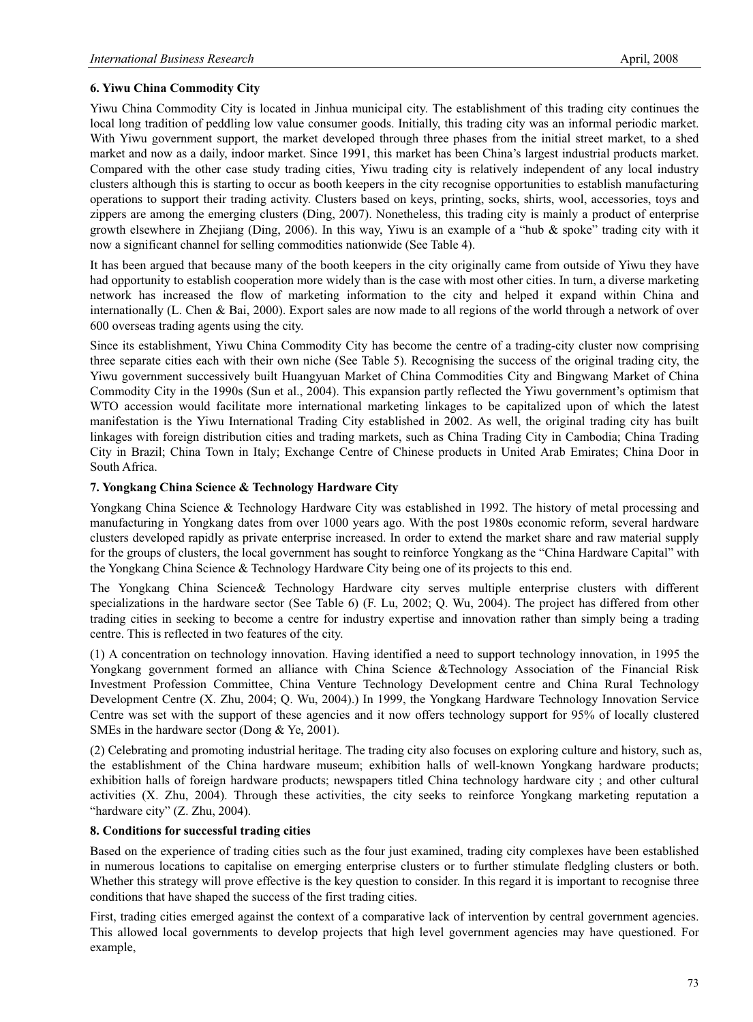### **6. Yiwu China Commodity City**

Yiwu China Commodity City is located in Jinhua municipal city. The establishment of this trading city continues the local long tradition of peddling low value consumer goods. Initially, this trading city was an informal periodic market. With Yiwu government support, the market developed through three phases from the initial street market, to a shed market and now as a daily, indoor market. Since 1991, this market has been China's largest industrial products market. Compared with the other case study trading cities, Yiwu trading city is relatively independent of any local industry clusters although this is starting to occur as booth keepers in the city recognise opportunities to establish manufacturing operations to support their trading activity. Clusters based on keys, printing, socks, shirts, wool, accessories, toys and zippers are among the emerging clusters (Ding, 2007). Nonetheless, this trading city is mainly a product of enterprise growth elsewhere in Zhejiang (Ding, 2006). In this way, Yiwu is an example of a "hub & spoke" trading city with it now a significant channel for selling commodities nationwide (See Table 4).

It has been argued that because many of the booth keepers in the city originally came from outside of Yiwu they have had opportunity to establish cooperation more widely than is the case with most other cities. In turn, a diverse marketing network has increased the flow of marketing information to the city and helped it expand within China and internationally (L. Chen & Bai, 2000). Export sales are now made to all regions of the world through a network of over 600 overseas trading agents using the city.

Since its establishment, Yiwu China Commodity City has become the centre of a trading-city cluster now comprising three separate cities each with their own niche (See Table 5). Recognising the success of the original trading city, the Yiwu government successively built Huangyuan Market of China Commodities City and Bingwang Market of China Commodity City in the 1990s (Sun et al., 2004). This expansion partly reflected the Yiwu government's optimism that WTO accession would facilitate more international marketing linkages to be capitalized upon of which the latest manifestation is the Yiwu International Trading City established in 2002. As well, the original trading city has built linkages with foreign distribution cities and trading markets, such as China Trading City in Cambodia; China Trading City in Brazil; China Town in Italy; Exchange Centre of Chinese products in United Arab Emirates; China Door in South Africa.

### **7. Yongkang China Science & Technology Hardware City**

Yongkang China Science & Technology Hardware City was established in 1992. The history of metal processing and manufacturing in Yongkang dates from over 1000 years ago. With the post 1980s economic reform, several hardware clusters developed rapidly as private enterprise increased. In order to extend the market share and raw material supply for the groups of clusters, the local government has sought to reinforce Yongkang as the "China Hardware Capital" with the Yongkang China Science & Technology Hardware City being one of its projects to this end.

The Yongkang China Science& Technology Hardware city serves multiple enterprise clusters with different specializations in the hardware sector (See Table 6) (F. Lu, 2002; Q. Wu, 2004). The project has differed from other trading cities in seeking to become a centre for industry expertise and innovation rather than simply being a trading centre. This is reflected in two features of the city.

(1) A concentration on technology innovation. Having identified a need to support technology innovation, in 1995 the Yongkang government formed an alliance with China Science &Technology Association of the Financial Risk Investment Profession Committee, China Venture Technology Development centre and China Rural Technology Development Centre (X. Zhu, 2004; Q. Wu, 2004).) In 1999, the Yongkang Hardware Technology Innovation Service Centre was set with the support of these agencies and it now offers technology support for 95% of locally clustered SMEs in the hardware sector (Dong & Ye, 2001).

(2) Celebrating and promoting industrial heritage. The trading city also focuses on exploring culture and history, such as, the establishment of the China hardware museum; exhibition halls of well-known Yongkang hardware products; exhibition halls of foreign hardware products; newspapers titled China technology hardware city ; and other cultural activities (X. Zhu, 2004). Through these activities, the city seeks to reinforce Yongkang marketing reputation a "hardware city" (Z. Zhu, 2004).

#### **8. Conditions for successful trading cities**

Based on the experience of trading cities such as the four just examined, trading city complexes have been established in numerous locations to capitalise on emerging enterprise clusters or to further stimulate fledgling clusters or both. Whether this strategy will prove effective is the key question to consider. In this regard it is important to recognise three conditions that have shaped the success of the first trading cities.

First, trading cities emerged against the context of a comparative lack of intervention by central government agencies. This allowed local governments to develop projects that high level government agencies may have questioned. For example,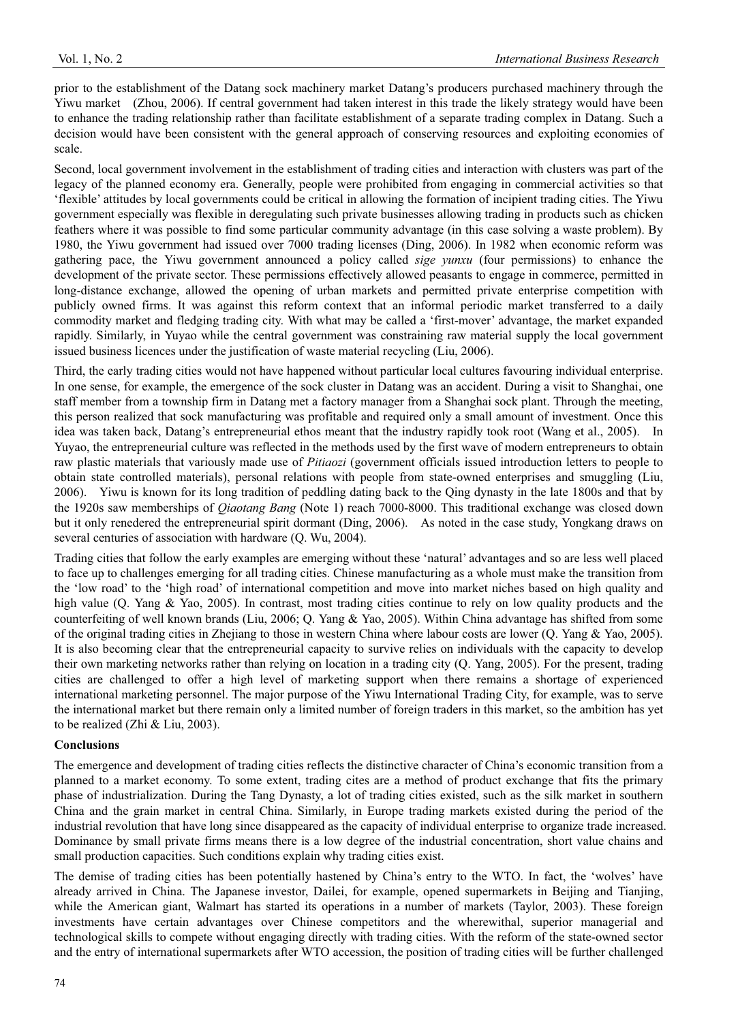prior to the establishment of the Datang sock machinery market Datang's producers purchased machinery through the Yiwu market (Zhou, 2006). If central government had taken interest in this trade the likely strategy would have been to enhance the trading relationship rather than facilitate establishment of a separate trading complex in Datang. Such a decision would have been consistent with the general approach of conserving resources and exploiting economies of scale.

Second, local government involvement in the establishment of trading cities and interaction with clusters was part of the legacy of the planned economy era. Generally, people were prohibited from engaging in commercial activities so that 'flexible' attitudes by local governments could be critical in allowing the formation of incipient trading cities. The Yiwu government especially was flexible in deregulating such private businesses allowing trading in products such as chicken feathers where it was possible to find some particular community advantage (in this case solving a waste problem). By 1980, the Yiwu government had issued over 7000 trading licenses (Ding, 2006). In 1982 when economic reform was gathering pace, the Yiwu government announced a policy called *sige yunxu* (four permissions) to enhance the development of the private sector. These permissions effectively allowed peasants to engage in commerce, permitted in long-distance exchange, allowed the opening of urban markets and permitted private enterprise competition with publicly owned firms. It was against this reform context that an informal periodic market transferred to a daily commodity market and fledging trading city. With what may be called a 'first-mover' advantage, the market expanded rapidly. Similarly, in Yuyao while the central government was constraining raw material supply the local government issued business licences under the justification of waste material recycling (Liu, 2006).

Third, the early trading cities would not have happened without particular local cultures favouring individual enterprise. In one sense, for example, the emergence of the sock cluster in Datang was an accident. During a visit to Shanghai, one staff member from a township firm in Datang met a factory manager from a Shanghai sock plant. Through the meeting, this person realized that sock manufacturing was profitable and required only a small amount of investment. Once this idea was taken back, Datang's entrepreneurial ethos meant that the industry rapidly took root (Wang et al., 2005). In Yuyao, the entrepreneurial culture was reflected in the methods used by the first wave of modern entrepreneurs to obtain raw plastic materials that variously made use of *Pitiaozi* (government officials issued introduction letters to people to obtain state controlled materials), personal relations with people from state-owned enterprises and smuggling (Liu, 2006). Yiwu is known for its long tradition of peddling dating back to the Qing dynasty in the late 1800s and that by the 1920s saw memberships of *Qiaotang Bang* (Note 1) reach 7000-8000. This traditional exchange was closed down but it only renedered the entrepreneurial spirit dormant (Ding, 2006). As noted in the case study, Yongkang draws on several centuries of association with hardware (Q. Wu, 2004).

Trading cities that follow the early examples are emerging without these 'natural' advantages and so are less well placed to face up to challenges emerging for all trading cities. Chinese manufacturing as a whole must make the transition from the 'low road' to the 'high road' of international competition and move into market niches based on high quality and high value (Q. Yang & Yao, 2005). In contrast, most trading cities continue to rely on low quality products and the counterfeiting of well known brands (Liu, 2006; Q. Yang & Yao, 2005). Within China advantage has shifted from some of the original trading cities in Zhejiang to those in western China where labour costs are lower (Q. Yang & Yao, 2005). It is also becoming clear that the entrepreneurial capacity to survive relies on individuals with the capacity to develop their own marketing networks rather than relying on location in a trading city (Q. Yang, 2005). For the present, trading cities are challenged to offer a high level of marketing support when there remains a shortage of experienced international marketing personnel. The major purpose of the Yiwu International Trading City, for example, was to serve the international market but there remain only a limited number of foreign traders in this market, so the ambition has yet to be realized (Zhi & Liu, 2003).

#### **Conclusions**

The emergence and development of trading cities reflects the distinctive character of China's economic transition from a planned to a market economy. To some extent, trading cites are a method of product exchange that fits the primary phase of industrialization. During the Tang Dynasty, a lot of trading cities existed, such as the silk market in southern China and the grain market in central China. Similarly, in Europe trading markets existed during the period of the industrial revolution that have long since disappeared as the capacity of individual enterprise to organize trade increased. Dominance by small private firms means there is a low degree of the industrial concentration, short value chains and small production capacities. Such conditions explain why trading cities exist.

The demise of trading cities has been potentially hastened by China's entry to the WTO. In fact, the 'wolves' have already arrived in China. The Japanese investor, Dailei, for example, opened supermarkets in Beijing and Tianjing, while the American giant, Walmart has started its operations in a number of markets (Taylor, 2003). These foreign investments have certain advantages over Chinese competitors and the wherewithal, superior managerial and technological skills to compete without engaging directly with trading cities. With the reform of the state-owned sector and the entry of international supermarkets after WTO accession, the position of trading cities will be further challenged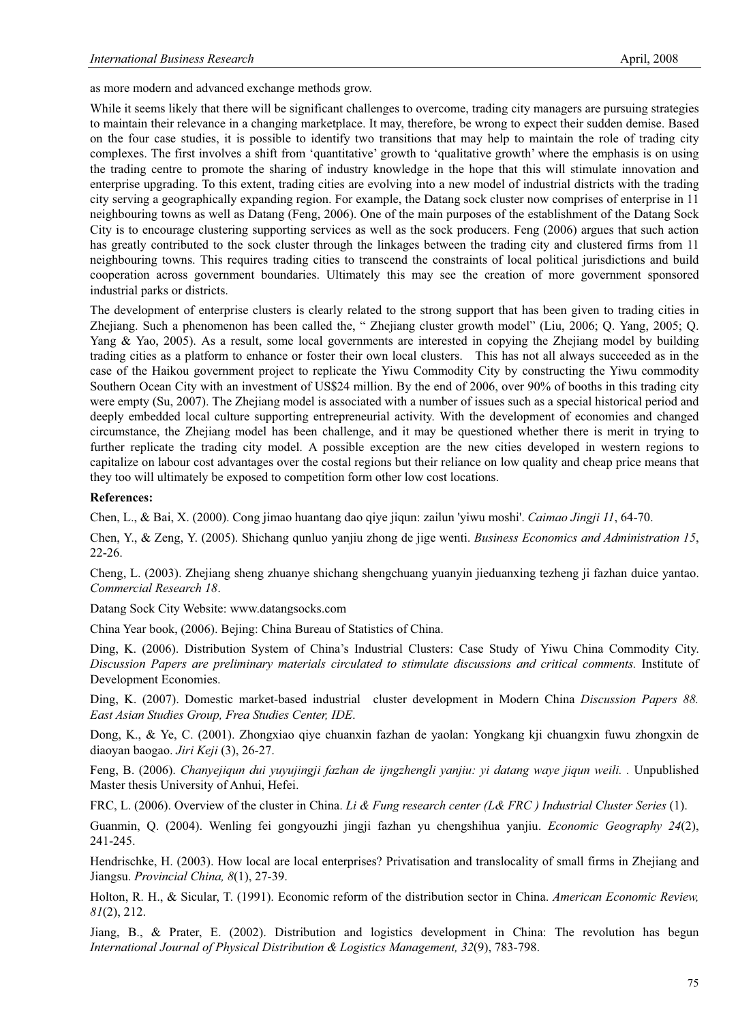as more modern and advanced exchange methods grow.

While it seems likely that there will be significant challenges to overcome, trading city managers are pursuing strategies to maintain their relevance in a changing marketplace. It may, therefore, be wrong to expect their sudden demise. Based on the four case studies, it is possible to identify two transitions that may help to maintain the role of trading city complexes. The first involves a shift from 'quantitative' growth to 'qualitative growth' where the emphasis is on using the trading centre to promote the sharing of industry knowledge in the hope that this will stimulate innovation and enterprise upgrading. To this extent, trading cities are evolving into a new model of industrial districts with the trading city serving a geographically expanding region. For example, the Datang sock cluster now comprises of enterprise in 11 neighbouring towns as well as Datang (Feng, 2006). One of the main purposes of the establishment of the Datang Sock City is to encourage clustering supporting services as well as the sock producers. Feng (2006) argues that such action has greatly contributed to the sock cluster through the linkages between the trading city and clustered firms from 11 neighbouring towns. This requires trading cities to transcend the constraints of local political jurisdictions and build cooperation across government boundaries. Ultimately this may see the creation of more government sponsored industrial parks or districts.

The development of enterprise clusters is clearly related to the strong support that has been given to trading cities in Zhejiang. Such a phenomenon has been called the, " Zhejiang cluster growth model" (Liu, 2006; Q. Yang, 2005; Q. Yang & Yao, 2005). As a result, some local governments are interested in copying the Zhejiang model by building trading cities as a platform to enhance or foster their own local clusters. This has not all always succeeded as in the case of the Haikou government project to replicate the Yiwu Commodity City by constructing the Yiwu commodity Southern Ocean City with an investment of US\$24 million. By the end of 2006, over 90% of booths in this trading city were empty (Su, 2007). The Zhejiang model is associated with a number of issues such as a special historical period and deeply embedded local culture supporting entrepreneurial activity. With the development of economies and changed circumstance, the Zhejiang model has been challenge, and it may be questioned whether there is merit in trying to further replicate the trading city model. A possible exception are the new cities developed in western regions to capitalize on labour cost advantages over the costal regions but their reliance on low quality and cheap price means that they too will ultimately be exposed to competition form other low cost locations.

#### **References:**

Chen, L., & Bai, X. (2000). Cong jimao huantang dao qiye jiqun: zailun 'yiwu moshi'. *Caimao Jingji 11*, 64-70.

Chen, Y., & Zeng, Y. (2005). Shichang qunluo yanjiu zhong de jige wenti. *Business Economics and Administration 15*, 22-26.

Cheng, L. (2003). Zhejiang sheng zhuanye shichang shengchuang yuanyin jieduanxing tezheng ji fazhan duice yantao. *Commercial Research 18*.

Datang Sock City Website: www.datangsocks.com

China Year book, (2006). Bejing: China Bureau of Statistics of China.

Ding, K. (2006). Distribution System of China's Industrial Clusters: Case Study of Yiwu China Commodity City. *Discussion Papers are preliminary materials circulated to stimulate discussions and critical comments.* Institute of Development Economies.

Ding, K. (2007). Domestic market-based industrial cluster development in Modern China *Discussion Papers 88. East Asian Studies Group, Frea Studies Center, IDE*.

Dong, K., & Ye, C. (2001). Zhongxiao qiye chuanxin fazhan de yaolan: Yongkang kji chuangxin fuwu zhongxin de diaoyan baogao. *Jiri Keji* (3), 26-27.

Feng, B. (2006). *Chanyejiqun dui yuyujingji fazhan de ijngzhengli yanjiu: yi datang waye jiqun weili. .* Unpublished Master thesis University of Anhui, Hefei.

FRC, L. (2006). Overview of the cluster in China. *Li & Fung research center (L& FRC ) Industrial Cluster Series* (1).

Guanmin, Q. (2004). Wenling fei gongyouzhi jingji fazhan yu chengshihua yanjiu. *Economic Geography 24*(2), 241-245.

Hendrischke, H. (2003). How local are local enterprises? Privatisation and translocality of small firms in Zhejiang and Jiangsu. *Provincial China, 8*(1), 27-39.

Holton, R. H., & Sicular, T. (1991). Economic reform of the distribution sector in China. *American Economic Review, 81*(2), 212.

Jiang, B., & Prater, E. (2002). Distribution and logistics development in China: The revolution has begun *International Journal of Physical Distribution & Logistics Management, 32*(9), 783-798.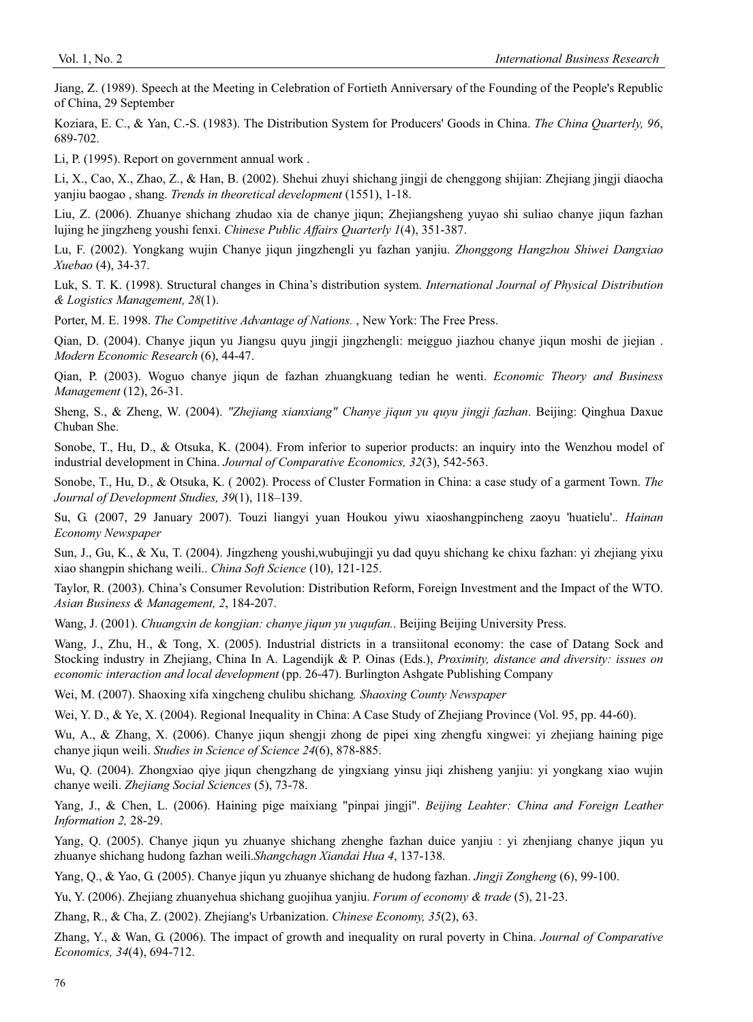Jiang, Z. (1989). Speech at the Meeting in Celebration of Fortieth Anniversary of the Founding of the People's Republic of China, 29 September

Koziara, E. C., & Yan, C.-S. (1983). The Distribution System for Producers' Goods in China. *The China Quarterly, 96*, 689-702.

Li, P. (1995). Report on government annual work .

Li, X., Cao, X., Zhao, Z., & Han, B. (2002). Shehui zhuyi shichang jingji de chenggong shijian: Zhejiang jingji diaocha yanjiu baogao , shang. *Trends in theoretical development* (1551), 1-18.

Liu, Z. (2006). Zhuanye shichang zhudao xia de chanye jiqun; Zhejiangsheng yuyao shi suliao chanye jiqun fazhan lujing he jingzheng youshi fenxi. *Chinese Public Affairs Quarterly 1*(4), 351-387.

Lu, F. (2002). Yongkang wujin Chanye jiqun jingzhengli yu fazhan yanjiu. *Zhonggong Hangzhou Shiwei Dangxiao Xuebao* (4), 34-37.

Luk, S. T. K. (1998). Structural changes in China's distribution system. *International Journal of Physical Distribution & Logistics Management, 28*(1).

Porter, M. E. 1998. *The Competitive Advantage of Nations.* , New York: The Free Press.

Qian, D. (2004). Chanye jiqun yu Jiangsu quyu jingji jingzhengli: meigguo jiazhou chanye jiqun moshi de jiejian . *Modern Economic Research* (6), 44-47.

Qian, P. (2003). Woguo chanye jiqun de fazhan zhuangkuang tedian he wenti. *Economic Theory and Business Management* (12), 26-31.

Sheng, S., & Zheng, W. (2004). *"Zhejiang xianxiang" Chanye jiqun yu quyu jingji fazhan*. Beijing: Qinghua Daxue Chuban She.

Sonobe, T., Hu, D., & Otsuka, K. (2004). From inferior to superior products: an inquiry into the Wenzhou model of industrial development in China. *Journal of Comparative Economics, 32*(3), 542-563.

Sonobe, T., Hu, D., & Otsuka, K. ( 2002). Process of Cluster Formation in China: a case study of a garment Town. *The Journal of Development Studies, 39*(1), 118–139.

Su, G. (2007, 29 January 2007). Touzi liangyi yuan Houkou yiwu xiaoshangpincheng zaoyu 'huatielu'.*. Hainan Economy Newspaper* 

Sun, J., Gu, K., & Xu, T. (2004). Jingzheng youshi,wubujingji yu dad quyu shichang ke chixu fazhan: yi zhejiang yixu xiao shangpin shichang weili.. *China Soft Science* (10), 121-125.

Taylor, R. (2003). China's Consumer Revolution: Distribution Reform, Foreign Investment and the Impact of the WTO. *Asian Business & Management, 2*, 184-207.

Wang, J. (2001). *Chuangxin de kongjian: chanye jiqun yu yuqufan.*. Beijing Beijing University Press.

Wang, J., Zhu, H., & Tong, X. (2005). Industrial districts in a transiitonal economy: the case of Datang Sock and Stocking industry in Zhejiang, China In A. Lagendijk & P. Oinas (Eds.), *Proximity, distance and diversity: issues on economic interaction and local development* (pp. 26-47). Burlington Ashgate Publishing Company

Wei, M. (2007). Shaoxing xifa xingcheng chulibu shichang*. Shaoxing County Newspaper* 

Wei, Y. D., & Ye, X. (2004). Regional Inequality in China: A Case Study of Zhejiang Province (Vol. 95, pp. 44-60).

Wu, A., & Zhang, X. (2006). Chanye jiqun shengji zhong de pipei xing zhengfu xingwei: yi zhejiang haining pige chanye jiqun weili. *Studies in Science of Science 24*(6), 878-885.

Wu, Q. (2004). Zhongxiao qiye jiqun chengzhang de yingxiang yinsu jiqi zhisheng yanjiu: yi yongkang xiao wujin chanye weili. *Zhejiang Social Sciences* (5), 73-78.

Yang, J., & Chen, L. (2006). Haining pige maixiang "pinpai jingji". *Beijing Leahter: China and Foreign Leather Information 2,* 28-29.

Yang, Q. (2005). Chanye jiqun yu zhuanye shichang zhenghe fazhan duice yanjiu : yi zhenjiang chanye jiqun yu zhuanye shichang hudong fazhan weili.*Shangchagn Xiandai Hua 4*, 137-138.

Yang, Q., & Yao, G. (2005). Chanye jiqun yu zhuanye shichang de hudong fazhan. *Jingji Zongheng* (6), 99-100.

Yu, Y. (2006). Zhejiang zhuanyehua shichang guojihua yanjiu. *Forum of economy & trade* (5), 21-23.

Zhang, R., & Cha, Z. (2002). Zhejiang's Urbanization. *Chinese Economy, 35*(2), 63.

Zhang, Y., & Wan, G. (2006). The impact of growth and inequality on rural poverty in China. *Journal of Comparative Economics, 34*(4), 694-712.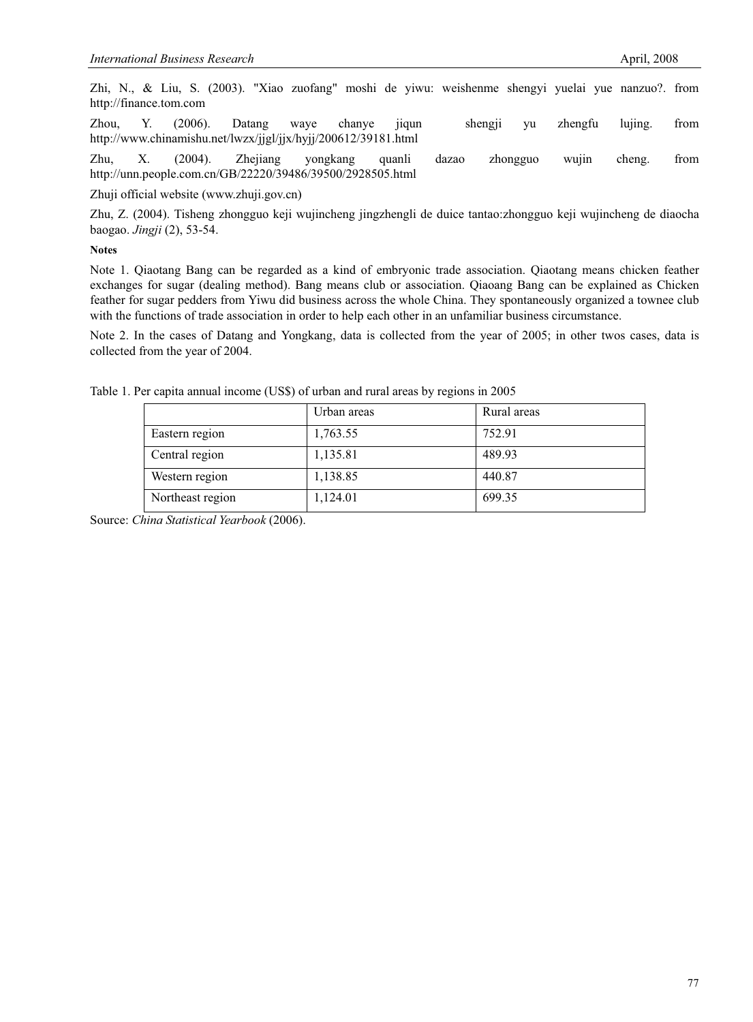Zhi, N., & Liu, S. (2003). "Xiao zuofang" moshi de yiwu: weishenme shengyi yuelai yue nanzuo?. from http://finance.tom.com

Zhou, Y. (2006). Datang waye chanye jiqun shengji yu zhengfu lujing. from http://www.chinamishu.net/lwzx/jjgl/jjx/hyjj/200612/39181.html

Zhu, X. (2004). Zhejiang yongkang quanli dazao zhongguo wujin cheng. from http://unn.people.com.cn/GB/22220/39486/39500/2928505.html

Zhuji official website (www.zhuji.gov.cn)

Zhu, Z. (2004). Tisheng zhongguo keji wujincheng jingzhengli de duice tantao:zhongguo keji wujincheng de diaocha baogao. *Jingji* (2), 53-54.

**Notes**

Note 1. Qiaotang Bang can be regarded as a kind of embryonic trade association. Qiaotang means chicken feather exchanges for sugar (dealing method). Bang means club or association. Qiaoang Bang can be explained as Chicken feather for sugar pedders from Yiwu did business across the whole China. They spontaneously organized a townee club with the functions of trade association in order to help each other in an unfamiliar business circumstance.

Note 2. In the cases of Datang and Yongkang, data is collected from the year of 2005; in other twos cases, data is collected from the year of 2004.

|                  | Urban areas | Rural areas |
|------------------|-------------|-------------|
| Eastern region   | 1,763.55    | 752.91      |
| Central region   | 1,135.81    | 489.93      |
| Western region   | 1,138.85    | 440.87      |
| Northeast region | 1,124.01    | 699.35      |

Table 1. Per capita annual income (US\$) of urban and rural areas by regions in 2005

Source: *China Statistical Yearbook* (2006).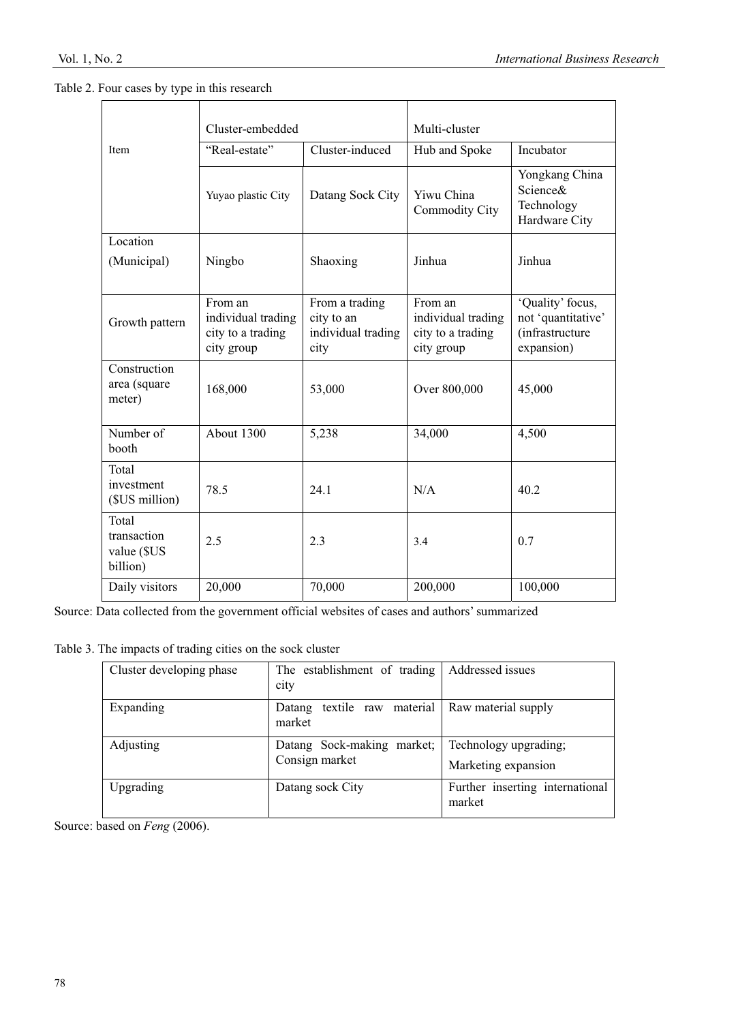## Table 2. Four cases by type in this research

|                                                 | Cluster-embedded                                                 |                                                            | Multi-cluster                                                    |                                                                         |  |
|-------------------------------------------------|------------------------------------------------------------------|------------------------------------------------------------|------------------------------------------------------------------|-------------------------------------------------------------------------|--|
| Item                                            | "Real-estate"                                                    | Cluster-induced                                            | Hub and Spoke                                                    | Incubator                                                               |  |
|                                                 | Yuyao plastic City                                               | Datang Sock City                                           | Yiwu China<br><b>Commodity City</b>                              | Yongkang China<br>Science&<br>Technology<br>Hardware City               |  |
| Location                                        |                                                                  |                                                            |                                                                  |                                                                         |  |
| (Municipal)                                     | Ningbo                                                           | Shaoxing                                                   | Jinhua                                                           | Jinhua                                                                  |  |
| Growth pattern                                  | From an<br>individual trading<br>city to a trading<br>city group | From a trading<br>city to an<br>individual trading<br>city | From an<br>individual trading<br>city to a trading<br>city group | 'Quality' focus,<br>not 'quantitative'<br>(infrastructure<br>expansion) |  |
| Construction<br>area (square<br>meter)          | 168,000                                                          | 53,000                                                     | Over 800,000                                                     | 45,000                                                                  |  |
| Number of<br>booth                              | About 1300                                                       | 5,238                                                      | 34,000                                                           | 4,500                                                                   |  |
| Total<br>investment<br>(\$US million)           | 78.5                                                             | 24.1                                                       | N/A                                                              | 40.2                                                                    |  |
| Total<br>transaction<br>value (\$US<br>billion) | 2.5                                                              | 2.3                                                        | 3.4                                                              | 0.7                                                                     |  |
| Daily visitors                                  | 20,000                                                           | 70,000                                                     | 200,000                                                          | 100,000                                                                 |  |

Source: Data collected from the government official websites of cases and authors' summarized

Table 3. The impacts of trading cities on the sock cluster

| Cluster developing phase | The establishment of trading<br>city         | Addressed issues                             |
|--------------------------|----------------------------------------------|----------------------------------------------|
| Expanding                | textile raw material<br>Datang<br>market     | Raw material supply                          |
| Adjusting                | Datang Sock-making market;<br>Consign market | Technology upgrading;<br>Marketing expansion |
| Upgrading                | Datang sock City                             | Further inserting international<br>market    |

Source: based on *Feng* (2006).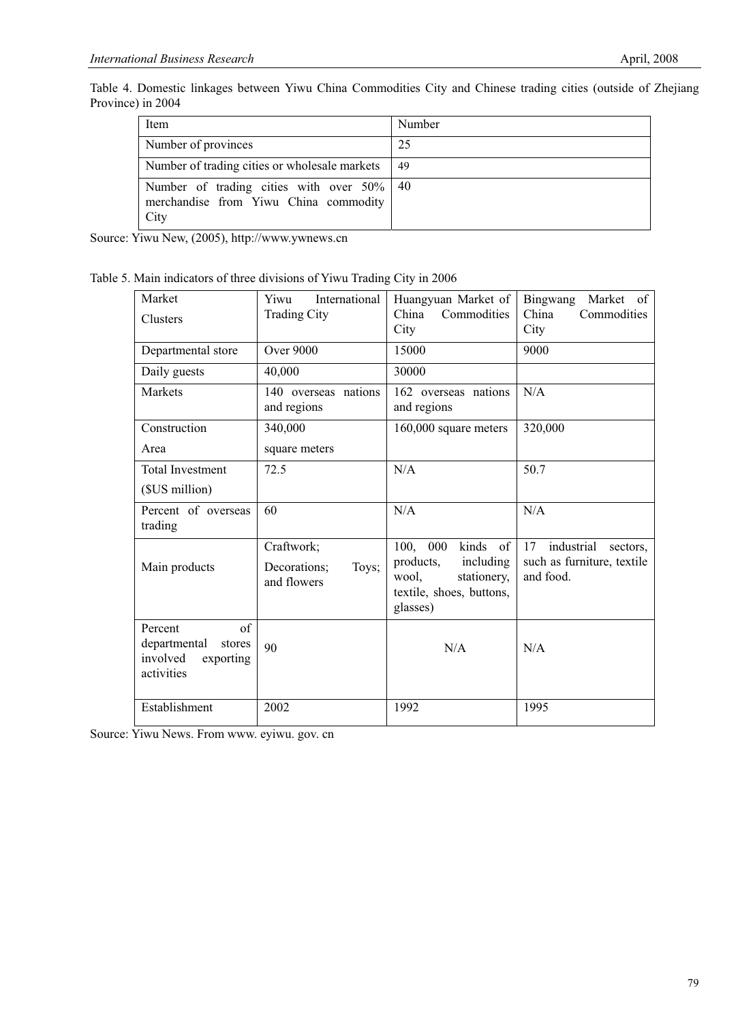Table 4. Domestic linkages between Yiwu China Commodities City and Chinese trading cities (outside of Zhejiang Province) in 2004

| Item                                                                                            | Number |
|-------------------------------------------------------------------------------------------------|--------|
| Number of provinces                                                                             | 25     |
| Number of trading cities or wholesale markets                                                   | 49     |
| Number of trading cities with over $50\%$   40<br>merchandise from Yiwu China commodity<br>City |        |

Source: Yiwu New, (2005), http://www.ywnews.cn

Table 5. Main indicators of three divisions of Yiwu Trading City in 2006

| Market<br>Clusters                                                             | International<br>Yiwu<br><b>Trading City</b>       | Huangyuan Market of<br>China<br>Commodities<br>City                                                                  | Bingwang<br>Market<br>of<br>China<br>Commodities<br>City                |
|--------------------------------------------------------------------------------|----------------------------------------------------|----------------------------------------------------------------------------------------------------------------------|-------------------------------------------------------------------------|
| Departmental store                                                             | <b>Over 9000</b>                                   | 15000                                                                                                                | 9000                                                                    |
| Daily guests                                                                   | 40,000                                             | 30000                                                                                                                |                                                                         |
| Markets                                                                        | 140 overseas nations<br>and regions                | 162 overseas nations<br>and regions                                                                                  | N/A                                                                     |
| Construction                                                                   | 340,000                                            | 160,000 square meters                                                                                                | 320,000                                                                 |
| Area                                                                           | square meters                                      |                                                                                                                      |                                                                         |
| <b>Total Investment</b>                                                        | 72.5                                               | N/A                                                                                                                  | 50.7                                                                    |
| (\$US million)                                                                 |                                                    |                                                                                                                      |                                                                         |
| Percent of overseas<br>trading                                                 | 60                                                 | N/A                                                                                                                  | N/A                                                                     |
| Main products                                                                  | Craftwork;<br>Decorations;<br>Toys;<br>and flowers | kinds<br>100,<br>of<br>000<br>products,<br>including<br>wool,<br>stationery,<br>textile, shoes, buttons,<br>glasses) | industrial<br>17<br>sectors.<br>such as furniture, textile<br>and food. |
| of<br>Percent<br>departmental<br>stores<br>involved<br>exporting<br>activities | 90                                                 | N/A                                                                                                                  | N/A                                                                     |
| Establishment                                                                  | 2002                                               | 1992                                                                                                                 | 1995                                                                    |

Source: Yiwu News. From www. eyiwu. gov. cn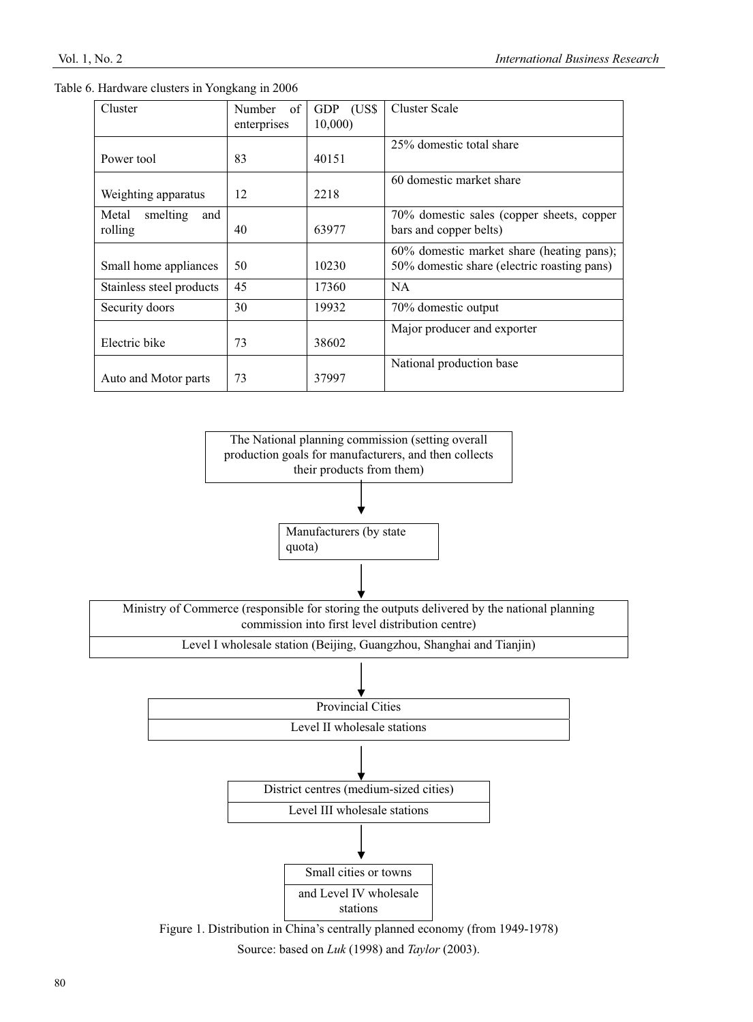|  | Table 6. Hardware clusters in Yongkang in 2006 |  |  |  |  |
|--|------------------------------------------------|--|--|--|--|
|--|------------------------------------------------|--|--|--|--|

| Cluster                             | of<br>Number<br>enterprises | GDP (US\$<br>10,000 | Cluster Scale                                                                            |
|-------------------------------------|-----------------------------|---------------------|------------------------------------------------------------------------------------------|
| Power tool                          | 83                          | 40151               | 25% domestic total share                                                                 |
| Weighting apparatus                 | 12                          | 2218                | 60 domestic market share                                                                 |
| smelting<br>Metal<br>and<br>rolling | 40                          | 63977               | 70% domestic sales (copper sheets, copper<br>bars and copper belts)                      |
| Small home appliances               | 50                          | 10230               | 60% domestic market share (heating pans);<br>50% domestic share (electric roasting pans) |
| Stainless steel products            | 45                          | 17360               | <b>NA</b>                                                                                |
| Security doors                      | 30                          | 19932               | 70% domestic output                                                                      |
| Electric bike                       | 73                          | 38602               | Major producer and exporter                                                              |
| Auto and Motor parts                | 73                          | 37997               | National production base                                                                 |



Source: based on *Luk* (1998) and *Taylor* (2003).